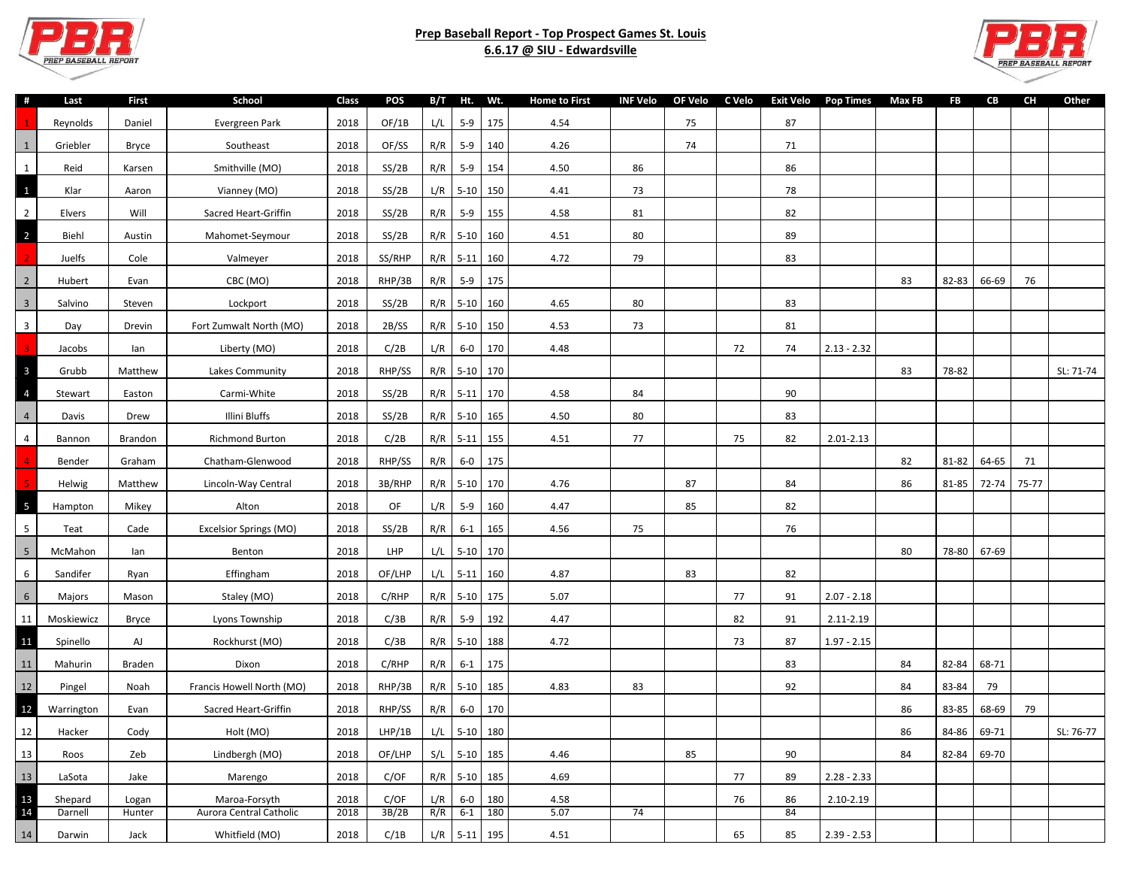

## **Prep Baseball Report - Top Prospect Games St. Louis 6.6.17 @ SIU - Edwardsville**



| #                       | Last       | <b>First</b> | School                    | Class | POS    |     | B/T Ht. Wt.    |         | <b>Home to First</b> |    | INF Velo OF Velo C Velo |    | Exit Velo Pop Times |               | Max FB | FB    | CB    | CH    | Other     |
|-------------------------|------------|--------------|---------------------------|-------|--------|-----|----------------|---------|----------------------|----|-------------------------|----|---------------------|---------------|--------|-------|-------|-------|-----------|
|                         | Reynolds   | Daniel       | Evergreen Park            | 2018  | OF/1B  | L/L |                | 5-9 175 | 4.54                 |    | 75                      |    | 87                  |               |        |       |       |       |           |
| $\,$ 1                  | Griebler   | Bryce        | Southeast                 | 2018  | OF/SS  | R/R | 5-9 140        |         | 4.26                 |    | 74                      |    | 71                  |               |        |       |       |       |           |
| $\mathbf 1$             | Reid       | Karsen       | Smithville (MO)           | 2018  | SS/2B  | R/R | 5-9 154        |         | 4.50                 | 86 |                         |    | 86                  |               |        |       |       |       |           |
| $\mathbf{1}$            | Klar       | Aaron        | Vianney (MO)              | 2018  | SS/2B  |     | $L/R$ 5-10 150 |         | 4.41                 | 73 |                         |    | 78                  |               |        |       |       |       |           |
| $\overline{2}$          | Elvers     | Will         | Sacred Heart-Griffin      | 2018  | SS/2B  | R/R | $5-9$ 155      |         | 4.58                 | 81 |                         |    | 82                  |               |        |       |       |       |           |
| $\overline{2}$          | Biehl      | Austin       | Mahomet-Seymour           | 2018  | SS/2B  |     | R/R 5-10 160   |         | 4.51                 | 80 |                         |    | 89                  |               |        |       |       |       |           |
|                         | Juelfs     | Cole         | Valmeyer                  | 2018  | SS/RHP |     | R/R 5-11 160   |         | 4.72                 | 79 |                         |    | 83                  |               |        |       |       |       |           |
| $\sqrt{2}$              | Hubert     | Evan         | CBC (MO)                  | 2018  | RHP/3B | R/R | $5-9$          | 175     |                      |    |                         |    |                     |               | 83     | 82-83 | 66-69 | 76    |           |
| $\overline{3}$          | Salvino    | Steven       | Lockport                  | 2018  | SS/2B  |     | R/R 5-10 160   |         | 4.65                 | 80 |                         |    | 83                  |               |        |       |       |       |           |
| $\overline{\mathbf{3}}$ | Day        | Drevin       | Fort Zumwalt North (MO)   | 2018  | 2B/SS  |     | R/R 5-10 150   |         | 4.53                 | 73 |                         |    | 81                  |               |        |       |       |       |           |
| $\overline{3}$          | Jacobs     | lan          | Liberty (MO)              | 2018  | C/2B   | L/R |                | 6-0 170 | 4.48                 |    |                         | 72 | 74                  | $2.13 - 2.32$ |        |       |       |       |           |
| $\overline{\mathbf{3}}$ | Grubb      | Matthew      | Lakes Community           | 2018  | RHP/SS |     | R/R 5-10 170   |         |                      |    |                         |    |                     |               | 83     | 78-82 |       |       | SL: 71-74 |
| $\overline{4}$          | Stewart    | Easton       | Carmi-White               | 2018  | SS/2B  |     | R/R 5-11 170   |         | 4.58                 | 84 |                         |    | 90                  |               |        |       |       |       |           |
| $\overline{4}$          | Davis      | Drew         | Illini Bluffs             | 2018  | SS/2B  |     | R/R 5-10 165   |         | 4.50                 | 80 |                         |    | 83                  |               |        |       |       |       |           |
| $\overline{4}$          | Bannon     | Brandon      | Richmond Burton           | 2018  | C/2B   |     | R/R 5-11 155   |         | 4.51                 | 77 |                         | 75 | 82                  | 2.01-2.13     |        |       |       |       |           |
|                         | Bender     | Graham       | Chatham-Glenwood          | 2018  | RHP/SS | R/R | $6-0$ 175      |         |                      |    |                         |    |                     |               | 82     | 81-82 | 64-65 | 71    |           |
|                         | Helwig     | Matthew      | Lincoln-Way Central       | 2018  | 3B/RHP |     | R/R 5-10 170   |         | 4.76                 |    | 87                      |    | 84                  |               | 86     | 81-85 | 72-74 | 75-77 |           |
| $5\phantom{a}$          | Hampton    | Mikey        | Alton                     | 2018  | OF     | L/R | $5-9$          | 160     | 4.47                 |    | 85                      |    | 82                  |               |        |       |       |       |           |
| $5\phantom{.0}$         | Teat       | Cade         | Excelsior Springs (MO)    | 2018  | SS/2B  | R/R | $6-1$          | 165     | 4.56                 | 75 |                         |    | 76                  |               |        |       |       |       |           |
| $\sqrt{5}$              | McMahon    | lan          | Benton                    | 2018  | LHP    |     | L/L 5-10 170   |         |                      |    |                         |    |                     |               | 80     | 78-80 | 67-69 |       |           |
| 6                       | Sandifer   | Ryan         | Effingham                 | 2018  | OF/LHP |     | $L/L$ 5-11 160 |         | 4.87                 |    | 83                      |    | 82                  |               |        |       |       |       |           |
| $\sqrt{6}$              | Majors     | Mason        | Staley (MO)               | 2018  | C/RHP  |     | R/R 5-10 175   |         | 5.07                 |    |                         | 77 | 91                  | $2.07 - 2.18$ |        |       |       |       |           |
| 11                      | Moskiewicz | Bryce        | Lyons Township            | 2018  | C/3B   | R/R | $5-9$ 192      |         | 4.47                 |    |                         | 82 | 91                  | 2.11-2.19     |        |       |       |       |           |
| 11                      | Spinello   | AJ           | Rockhurst (MO)            | 2018  | C/3B   |     | R/R 5-10 188   |         | 4.72                 |    |                         | 73 | 87                  | $1.97 - 2.15$ |        |       |       |       |           |
| $11\,$                  | Mahurin    | Braden       | Dixon                     | 2018  | C/RHP  | R/R | $6-1$          | 175     |                      |    |                         |    | 83                  |               | 84     | 82-84 | 68-71 |       |           |
| $12$                    | Pingel     | Noah         | Francis Howell North (MO) | 2018  | RHP/3B |     | R/R 5-10 185   |         | 4.83                 | 83 |                         |    | 92                  |               | 84     | 83-84 | 79    |       |           |
| 12                      | Warrington | Evan         | Sacred Heart-Griffin      | 2018  | RHP/SS | R/R | $6-0$ 170      |         |                      |    |                         |    |                     |               | 86     | 83-85 | 68-69 | 79    |           |
| 12                      | Hacker     | Cody         | Holt (MO)                 | 2018  | LHP/1B |     | $L/L$ 5-10 180 |         |                      |    |                         |    |                     |               | 86     | 84-86 | 69-71 |       | SL: 76-77 |
| 13                      | Roos       | Zeb          | Lindbergh (MO)            | 2018  | OF/LHP |     | S/L 5-10 185   |         | 4.46                 |    | 85                      |    | 90                  |               | 84     | 82-84 | 69-70 |       |           |
| 13                      | LaSota     | Jake         | Marengo                   | 2018  | C/OF   |     | R/R 5-10 185   |         | 4.69                 |    |                         | 77 | 89                  | $2.28 - 2.33$ |        |       |       |       |           |
| 13                      | Shepard    | Logan        | Maroa-Forsyth             | 2018  | C/OF   | L/R | $6 - 0$        | 180     | 4.58                 |    |                         | 76 | 86                  | 2.10-2.19     |        |       |       |       |           |
| 14                      | Darnell    | Hunter       | Aurora Central Catholic   | 2018  | 3B/2B  | R/R | $6-1$ 180      |         | 5.07                 | 74 |                         |    | 84                  |               |        |       |       |       |           |
| 14                      | Darwin     | Jack         | Whitfield (MO)            | 2018  | C/1B   |     | $L/R$ 5-11 195 |         | 4.51                 |    |                         | 65 | 85                  | $2.39 - 2.53$ |        |       |       |       |           |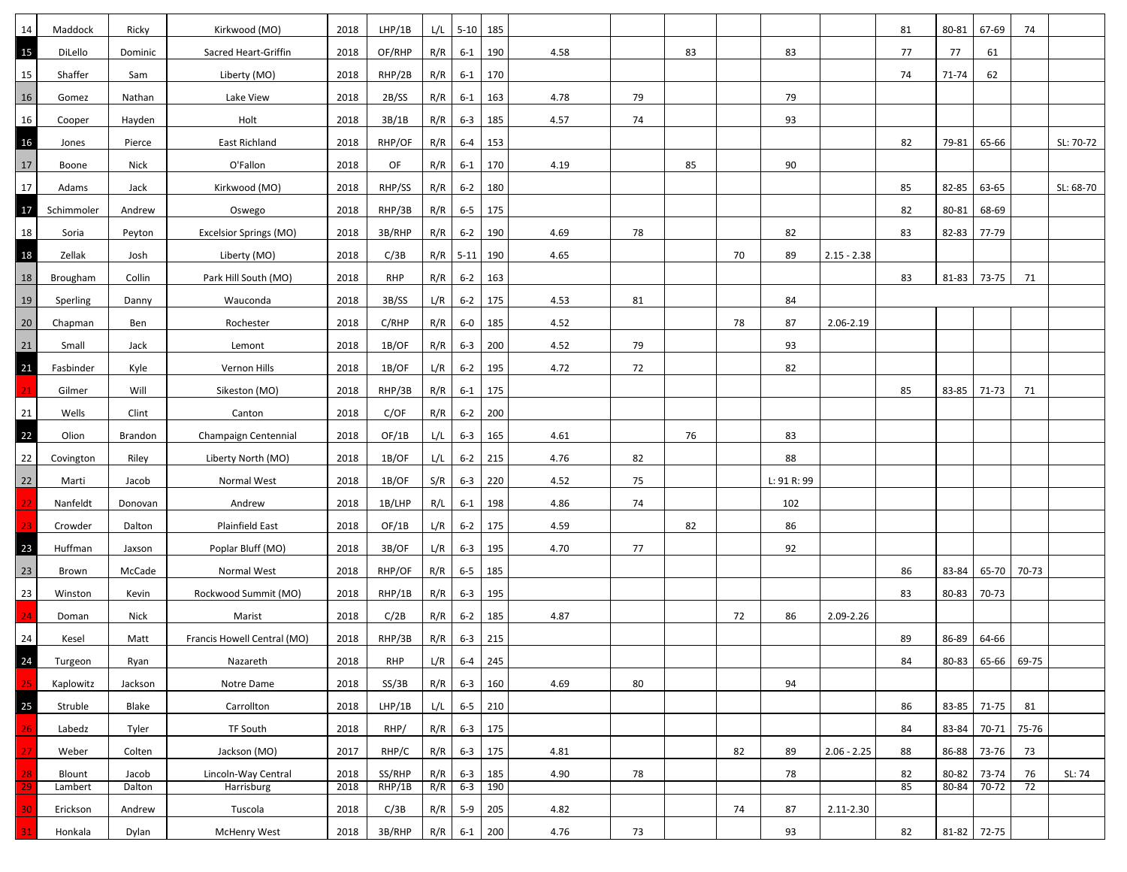| 14     | Maddock    | Ricky   | Kirkwood (MO)               | 2018 | LHP/1B     |     | $L/L$ 5-10 185 |           |      |    |    |    |             |               | 81 | 80-81 | 67-69       | 74    |           |
|--------|------------|---------|-----------------------------|------|------------|-----|----------------|-----------|------|----|----|----|-------------|---------------|----|-------|-------------|-------|-----------|
| 15     | DiLello    | Dominic | Sacred Heart-Griffin        | 2018 | OF/RHP     | R/R | $6 - 1$        | 190       | 4.58 |    | 83 |    | 83          |               | 77 | 77    | 61          |       |           |
| 15     | Shaffer    | Sam     | Liberty (MO)                | 2018 | RHP/2B     | R/R |                | 6-1 170   |      |    |    |    |             |               | 74 | 71-74 | 62          |       |           |
| 16     | Gomez      | Nathan  | Lake View                   | 2018 | 2B/SS      | R/R | $6-1$ 163      |           | 4.78 | 79 |    |    | 79          |               |    |       |             |       |           |
| 16     | Cooper     | Hayden  | Holt                        | 2018 | 3B/1B      | R/R | $6 - 3$        | 185       | 4.57 | 74 |    |    | 93          |               |    |       |             |       |           |
| 16     | Jones      | Pierce  | <b>East Richland</b>        | 2018 | RHP/OF     | R/R | $6 - 4$        | 153       |      |    |    |    |             |               | 82 | 79-81 | 65-66       |       | SL: 70-72 |
| $17\,$ | Boone      | Nick    | O'Fallon                    | 2018 | OF         | R/R |                | 6-1 170   | 4.19 |    | 85 |    | 90          |               |    |       |             |       |           |
| 17     | Adams      | Jack    | Kirkwood (MO)               | 2018 | RHP/SS     | R/R | $6 - 2$        | 180       |      |    |    |    |             |               | 85 | 82-85 | 63-65       |       | SL: 68-70 |
| 17     | Schimmoler | Andrew  | Oswego                      | 2018 | RHP/3B     | R/R | 6-5 175        |           |      |    |    |    |             |               | 82 | 80-81 | 68-69       |       |           |
| 18     | Soria      | Peyton  | Excelsior Springs (MO)      | 2018 | 3B/RHP     | R/R | $6 - 2$        | 190       | 4.69 | 78 |    |    | 82          |               | 83 | 82-83 | 77-79       |       |           |
| 18     | Zellak     | Josh    | Liberty (MO)                | 2018 | C/3B       |     | R/R 5-11 190   |           | 4.65 |    |    | 70 | 89          | $2.15 - 2.38$ |    |       |             |       |           |
| 18     | Brougham   | Collin  | Park Hill South (MO)        | 2018 | <b>RHP</b> | R/R | $6-2$          | 163       |      |    |    |    |             |               | 83 | 81-83 | 73-75       | 71    |           |
| 19     | Sperling   | Danny   | Wauconda                    | 2018 | 3B/SS      | L/R | $6 - 2$        | 175       | 4.53 | 81 |    |    | 84          |               |    |       |             |       |           |
| 20     | Chapman    | Ben     | Rochester                   | 2018 | C/RHP      | R/R | 6-0            | 185       | 4.52 |    |    | 78 | 87          | 2.06-2.19     |    |       |             |       |           |
| 21     | Small      | Jack    | Lemont                      | 2018 | 1B/OF      | R/R | $6 - 3$ 200    |           | 4.52 | 79 |    |    | 93          |               |    |       |             |       |           |
| 21     | Fasbinder  | Kyle    | Vernon Hills                | 2018 | 1B/OF      | L/R | $6 - 2$        | 195       | 4.72 | 72 |    |    | 82          |               |    |       |             |       |           |
| 21     | Gilmer     | Will    | Sikeston (MO)               | 2018 | RHP/3B     | R/R |                | $6-1$ 175 |      |    |    |    |             |               | 85 | 83-85 | 71-73       | 71    |           |
| 21     | Wells      | Clint   | Canton                      | 2018 | C/OF       | R/R | $6 - 2$        | 200       |      |    |    |    |             |               |    |       |             |       |           |
| 22     | Olion      | Brandon | Champaign Centennial        | 2018 | OF/1B      | L/L | $6 - 3$        | 165       | 4.61 |    | 76 |    | 83          |               |    |       |             |       |           |
| 22     | Covington  | Riley   | Liberty North (MO)          | 2018 | 1B/OF      | L/L |                | $6-2$ 215 | 4.76 | 82 |    |    | 88          |               |    |       |             |       |           |
| 22     | Marti      | Jacob   | Normal West                 | 2018 | 1B/OF      | S/R | $6 - 3$        | 220       | 4.52 | 75 |    |    | L: 91 R: 99 |               |    |       |             |       |           |
| 22     | Nanfeldt   | Donovan | Andrew                      | 2018 | 1B/LHP     | R/L | $6 - 1$        | 198       | 4.86 | 74 |    |    | 102         |               |    |       |             |       |           |
|        | Crowder    | Dalton  | Plainfield East             | 2018 | OF/1B      | L/R | $6 - 2$        | 175       | 4.59 |    | 82 |    | 86          |               |    |       |             |       |           |
| 23     | Huffman    | Jaxson  | Poplar Bluff (MO)           | 2018 | 3B/OF      | L/R | $6 - 3$        | 195       | 4.70 | 77 |    |    | 92          |               |    |       |             |       |           |
| $23\,$ | Brown      | McCade  | Normal West                 | 2018 | RHP/OF     | R/R | $6 - 5$        | 185       |      |    |    |    |             |               | 86 | 83-84 | 65-70       | 70-73 |           |
| 23     | Winston    | Kevin   | Rockwood Summit (MO)        | 2018 | RHP/1B     | R/R | $6 - 3$        | 195       |      |    |    |    |             |               | 83 | 80-83 | 70-73       |       |           |
| 24     | Doman      | Nick    | Marist                      | 2018 | C/2B       | R/R | $6 - 2$        | 185       | 4.87 |    |    | 72 | 86          | 2.09-2.26     |    |       |             |       |           |
| 24     | Kesel      | Matt    | Francis Howell Central (MO) | 2018 | RHP/3B     | R/R | $6 - 3$        | 215       |      |    |    |    |             |               | 89 | 86-89 | 64-66       |       |           |
| 24     | Turgeon    | Ryan    | Nazareth                    | 2018 | RHP        |     | $L/R$ 6-4 245  |           |      |    |    |    |             |               | 84 | 80-83 | 65-66 69-75 |       |           |
|        | Kaplowitz  | Jackson | Notre Dame                  | 2018 | SS/3B      | R/R |                | 6-3 160   | 4.69 | 80 |    |    | 94          |               |    |       |             |       |           |
| 25     | Struble    | Blake   | Carrollton                  | 2018 | LHP/1B     | L/L |                | 6-5 210   |      |    |    |    |             |               | 86 | 83-85 | 71-75       | 81    |           |
| 26     | Labedz     | Tyler   | TF South                    | 2018 | RHP/       | R/R | 6-3 175        |           |      |    |    |    |             |               | 84 | 83-84 | 70-71       | 75-76 |           |
|        | Weber      | Colten  | Jackson (MO)                | 2017 | RHP/C      | R/R |                | 6-3 175   | 4.81 |    |    | 82 | 89          | $2.06 - 2.25$ | 88 | 86-88 | 73-76       | 73    |           |
|        | Blount     | Jacob   | Lincoln-Way Central         | 2018 | SS/RHP     | R/R | $6-3$ 185      |           | 4.90 | 78 |    |    | 78          |               | 82 | 80-82 | 73-74       | 76    | SL: 74    |
|        | Lambert    | Dalton  | Harrisburg                  | 2018 | RHP/1B     |     | R/R 6-3 190    |           |      |    |    |    |             |               | 85 | 80-84 | 70-72       | 72    |           |
|        | Erickson   | Andrew  | Tuscola                     | 2018 | C/3B       | R/R | $5-9$ 205      |           | 4.82 |    |    | 74 | 87          | 2.11-2.30     |    |       |             |       |           |
|        | Honkala    | Dylan   | <b>McHenry West</b>         | 2018 | 3B/RHP     | R/R | $6-1$ 200      |           | 4.76 | 73 |    |    | 93          |               | 82 | 81-82 | 72-75       |       |           |